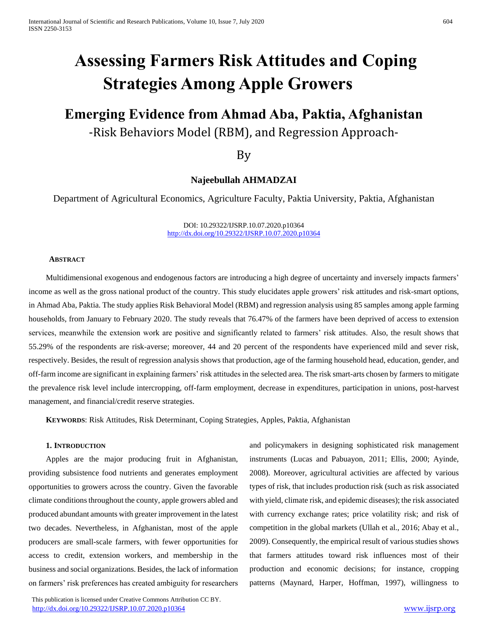# **Assessing Farmers Risk Attitudes and Coping Strategies Among Apple Growers**

# **Emerging Evidence from Ahmad Aba, Paktia, Afghanistan** -Risk Behaviors Model (RBM), and Regression Approach-

By

# **Najeebullah AHMADZAI**

Department of Agricultural Economics, Agriculture Faculty, Paktia University, Paktia, Afghanistan

DOI: 10.29322/IJSRP.10.07.2020.p10364 <http://dx.doi.org/10.29322/IJSRP.10.07.2020.p10364>

# **ABSTRACT**

Multidimensional exogenous and endogenous factors are introducing a high degree of uncertainty and inversely impacts farmers' income as well as the gross national product of the country. This study elucidates apple growers' risk attitudes and risk-smart options, in Ahmad Aba, Paktia. The study applies Risk Behavioral Model (RBM) and regression analysis using 85 samples among apple farming households, from January to February 2020. The study reveals that 76.47% of the farmers have been deprived of access to extension services, meanwhile the extension work are positive and significantly related to farmers' risk attitudes. Also, the result shows that 55.29% of the respondents are risk-averse; moreover, 44 and 20 percent of the respondents have experienced mild and sever risk, respectively. Besides, the result of regression analysis shows that production, age of the farming household head, education, gender, and off-farm income are significant in explaining farmers' risk attitudes in the selected area. The risk smart-arts chosen by farmers to mitigate the prevalence risk level include intercropping, off-farm employment, decrease in expenditures, participation in unions, post-harvest management, and financial/credit reserve strategies.

**KEYWORDS**: Risk Attitudes, Risk Determinant, Coping Strategies, Apples, Paktia, Afghanistan

# **1. INTRODUCTION**

Apples are the major producing fruit in Afghanistan, providing subsistence food nutrients and generates employment opportunities to growers across the country. Given the favorable climate conditions throughout the county, apple growers abled and produced abundant amounts with greater improvement in the latest two decades. Nevertheless, in Afghanistan, most of the apple producers are small-scale farmers, with fewer opportunities for access to credit, extension workers, and membership in the business and social organizations. Besides, the lack of information on farmers' risk preferences has created ambiguity for researchers

 This publication is licensed under Creative Commons Attribution CC BY. <http://dx.doi.org/10.29322/IJSRP.10.07.2020.p10364> [www.ijsrp.org](http://ijsrp.org/)

and policymakers in designing sophisticated risk management instruments (Lucas and Pabuayon, 2011; Ellis, 2000; Ayinde, 2008). Moreover, agricultural activities are affected by various types of risk, that includes production risk (such as risk associated with yield, climate risk, and epidemic diseases); the risk associated with currency exchange rates; price volatility risk; and risk of competition in the global markets (Ullah et al., 2016; Abay et al., 2009). Consequently, the empirical result of various studies shows that farmers attitudes toward risk influences most of their production and economic decisions; for instance, cropping patterns (Maynard, Harper, Hoffman, 1997), willingness to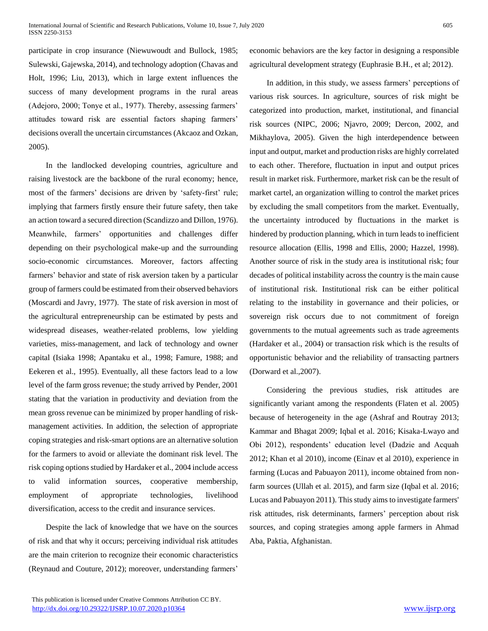participate in crop insurance (Niewuwoudt and Bullock, 1985; Sulewski, Gajewska, 2014), and technology adoption (Chavas and Holt, 1996; Liu, 2013), which in large extent influences the success of many development programs in the rural areas (Adejoro, 2000; Tonye et al., 1977). Thereby, assessing farmers' attitudes toward risk are essential factors shaping farmers' decisions overall the uncertain circumstances (Akcaoz and Ozkan, 2005).

In the landlocked developing countries, agriculture and raising livestock are the backbone of the rural economy; hence, most of the farmers' decisions are driven by 'safety-first' rule; implying that farmers firstly ensure their future safety, then take an action toward a secured direction (Scandizzo and Dillon, 1976). Meanwhile, farmers' opportunities and challenges differ depending on their psychological make-up and the surrounding socio-economic circumstances. Moreover, factors affecting farmers' behavior and state of risk aversion taken by a particular group of farmers could be estimated from their observed behaviors (Moscardi and Javry, 1977). The state of risk aversion in most of the agricultural entrepreneurship can be estimated by pests and widespread diseases, weather-related problems, low yielding varieties, miss-management, and lack of technology and owner capital (Isiaka 1998; Apantaku et al., 1998; Famure, 1988; and Eekeren et al., 1995). Eventually, all these factors lead to a low level of the farm gross revenue; the study arrived by Pender, 2001 stating that the variation in productivity and deviation from the mean gross revenue can be minimized by proper handling of riskmanagement activities. In addition, the selection of appropriate coping strategies and risk-smart options are an alternative solution for the farmers to avoid or alleviate the dominant risk level. The risk coping options studied by Hardaker et al., 2004 include access to valid information sources, cooperative membership, employment of appropriate technologies, livelihood diversification, access to the credit and insurance services.

Despite the lack of knowledge that we have on the sources of risk and that why it occurs; perceiving individual risk attitudes are the main criterion to recognize their economic characteristics (Reynaud and Couture, 2012); moreover, understanding farmers'

economic behaviors are the key factor in designing a responsible agricultural development strategy (Euphrasie B.H.*,* et al; 2012).

In addition, in this study, we assess farmers' perceptions of various risk sources. In agriculture, sources of risk might be categorized into production, market, institutional, and financial risk sources (NIPC, 2006; Njavro, 2009; Dercon, 2002, and Mikhaylova, 2005). Given the high interdependence between input and output, market and production risks are highly correlated to each other. Therefore, fluctuation in input and output prices result in market risk. Furthermore, market risk can be the result of market cartel, an organization willing to control the market prices by excluding the small competitors from the market. Eventually, the uncertainty introduced by fluctuations in the market is hindered by production planning, which in turn leads to inefficient resource allocation (Ellis, 1998 and Ellis, 2000; Hazzel, 1998). Another source of risk in the study area is institutional risk; four decades of political instability across the country is the main cause of institutional risk. Institutional risk can be either political relating to the instability in governance and their policies, or sovereign risk occurs due to not commitment of foreign governments to the mutual agreements such as trade agreements (Hardaker et al., 2004) or transaction risk which is the results of opportunistic behavior and the reliability of transacting partners (Dorward et al.,2007).

Considering the previous studies, risk attitudes are significantly variant among the respondents (Flaten et al. 2005) because of heterogeneity in the age (Ashraf and Routray 2013; Kammar and Bhagat 2009; Iqbal et al. 2016; Kisaka-Lwayo and Obi 2012), respondents' education level (Dadzie and Acquah 2012; Khan et al 2010), income (Einav et al 2010), experience in farming (Lucas and Pabuayon 2011), income obtained from nonfarm sources (Ullah et al. 2015), and farm size (Iqbal et al. 2016; Lucas and Pabuayon 2011). This study aims to investigate farmers' risk attitudes, risk determinants, farmers' perception about risk sources, and coping strategies among apple farmers in Ahmad Aba, Paktia, Afghanistan.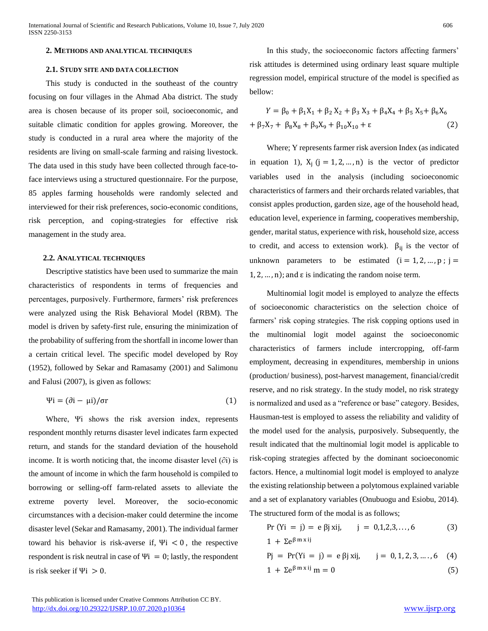# **2. METHODS AND ANALYTICAL TECHNIQUES**

# **2.1. STUDY SITE AND DATA COLLECTION**

This study is conducted in the southeast of the country focusing on four villages in the Ahmad Aba district. The study area is chosen because of its proper soil, socioeconomic, and suitable climatic condition for apples growing. Moreover, the study is conducted in a rural area where the majority of the residents are living on small-scale farming and raising livestock. The data used in this study have been collected through face-toface interviews using a structured questionnaire. For the purpose, 85 apples farming households were randomly selected and interviewed for their risk preferences, socio-economic conditions, risk perception, and coping-strategies for effective risk management in the study area.

#### **2.2. ANALYTICAL TECHNIQUES**

Descriptive statistics have been used to summarize the main characteristics of respondents in terms of frequencies and percentages, purposively. Furthermore, farmers' risk preferences were analyzed using the Risk Behavioral Model (RBM). The model is driven by safety-first rule, ensuring the minimization of the probability of suffering from the shortfall in income lower than a certain critical level. The specific model developed by Roy (1952), followed by Sekar and Ramasamy (2001) and Salimonu and Falusi (2007), is given as follows:

$$
\Psi i = (\partial i - \mu i) / \sigma r \tag{1}
$$

Where, Ψi shows the risk aversion index, represents respondent monthly returns disaster level indicates farm expected return, and stands for the standard deviation of the household income. It is worth noticing that, the income disaster level  $(\partial i)$  is the amount of income in which the farm household is compiled to borrowing or selling-off farm-related assets to alleviate the extreme poverty level. Moreover, the socio-economic circumstances with a decision-maker could determine the income disaster level (Sekar and Ramasamy, 2001). The individual farmer toward his behavior is risk-averse if,  $\Psi i < 0$ , the respective respondent is risk neutral in case of  $\Psi i = 0$ ; lastly, the respondent is risk seeker if  $\Psi i > 0$ .

In this study, the socioeconomic factors affecting farmers' risk attitudes is determined using ordinary least square multiple regression model, empirical structure of the model is specified as bellow:

$$
Y = \beta_0 + \beta_1 X_1 + \beta_2 X_2 + \beta_3 X_3 + \beta_4 X_4 + \beta_5 X_5 + \beta_6 X_6
$$
  
+  $\beta_7 X_7 + \beta_8 X_8 + \beta_9 X_9 + \beta_{10} X_{10} + \varepsilon$  (2)

Where; Y represents farmer risk aversion Index (as indicated in equation 1),  $X_i$  (j = 1, 2, ..., n) is the vector of predictor variables used in the analysis (including socioeconomic characteristics of farmers and their orchards related variables, that consist apples production, garden size, age of the household head, education level, experience in farming, cooperatives membership, gender, marital status, experience with risk, household size, access to credit, and access to extension work).  $\beta_{ii}$  is the vector of unknown parameters to be estimated  $(i = 1, 2, ..., p; j =$  $1, 2, \ldots, n$ ; and  $\varepsilon$  is indicating the random noise term.

Multinomial logit model is employed to analyze the effects of socioeconomic characteristics on the selection choice of farmers' risk coping strategies. The risk copping options used in the multinomial logit model against the socioeconomic characteristics of farmers include intercropping, off-farm employment, decreasing in expenditures, membership in unions (production/ business), post-harvest management, financial/credit reserve, and no risk strategy. In the study model, no risk strategy is normalized and used as a "reference or base" category. Besides, Hausman-test is employed to assess the reliability and validity of the model used for the analysis, purposively. Subsequently, the result indicated that the multinomial logit model is applicable to risk-coping strategies affected by the dominant socioeconomic factors. Hence, a multinomial logit model is employed to analyze the existing relationship between a polytomous explained variable and a set of explanatory variables (Onubuogu and Esiobu, 2014). The structured form of the modal is as follows;

$$
Pr (Yi = j) = e \beta j xij, \qquad j = 0, 1, 2, 3, ..., 6 \qquad (3)
$$

$$
Pj = Pr(Yi = j) = e \beta j xij, \quad j = 0, 1, 2, 3, ..., 6
$$
 (4)

 $1 + \sum e^{\beta m x i j}$ 

$$
1 + \Sigma e^{\beta \max ij} \, m = 0 \tag{5}
$$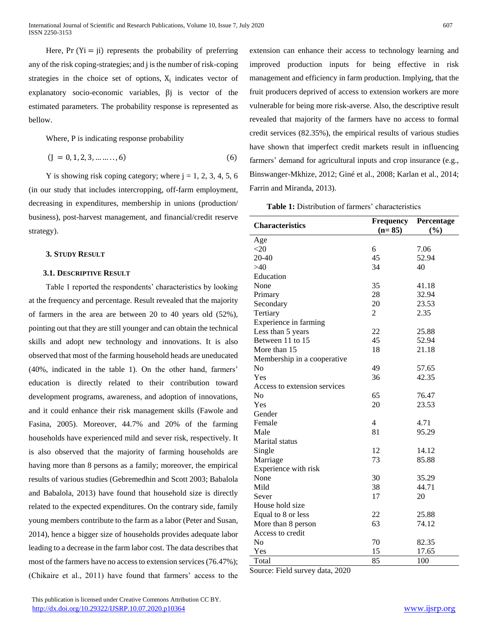Here,  $Pr(Y_i = ji)$  represents the probability of preferring any of the risk coping-strategies; and j is the number of risk-coping strategies in the choice set of options,  $X_i$  indicates vector of explanatory socio-economic variables, βj is vector of the estimated parameters. The probability response is represented as bellow.

Where, P is indicating response probability

$$
(J = 0, 1, 2, 3, \dots \dots ., 6)
$$
 (6)

Y is showing risk coping category; where  $j = 1, 2, 3, 4, 5, 6$ (in our study that includes intercropping, off-farm employment, decreasing in expenditures, membership in unions (production/ business), post-harvest management, and financial/credit reserve strategy).

# **3. STUDY RESULT**

## **3.1. DESCRIPTIVE RESULT**

Table 1 reported the respondents' characteristics by looking at the frequency and percentage. Result revealed that the majority of farmers in the area are between 20 to 40 years old (52%), pointing out that they are still younger and can obtain the technical skills and adopt new technology and innovations. It is also observed that most of the farming household heads are uneducated (40%, indicated in the table 1). On the other hand, farmers' education is directly related to their contribution toward development programs, awareness, and adoption of innovations, and it could enhance their risk management skills (Fawole and Fasina, 2005). Moreover, 44.7% and 20% of the farming households have experienced mild and sever risk, respectively. It is also observed that the majority of farming households are having more than 8 persons as a family; moreover, the empirical results of various studies (Gebremedhin and Scott 2003; Babalola and Babalola, 2013) have found that household size is directly related to the expected expenditures. On the contrary side, family young members contribute to the farm as a labor (Peter and Susan, 2014), hence a bigger size of households provides adequate labor leading to a decrease in the farm labor cost. The data describes that most of the farmers have no access to extension services (76.47%); (Chikaire et al., 2011) have found that farmers' access to the

extension can enhance their access to technology learning and improved production inputs for being effective in risk management and efficiency in farm production. Implying, that the fruit producers deprived of access to extension workers are more vulnerable for being more risk-averse. Also, the descriptive result revealed that majority of the farmers have no access to formal credit services (82.35%), the empirical results of various studies have shown that imperfect credit markets result in influencing farmers' demand for agricultural inputs and crop insurance (e.g., Binswanger-Mkhize, 2012; Giné et al., 2008; Karlan et al., 2014; Farrin and Miranda, 2013).

**Table 1:** Distribution of farmers' characteristics

| <b>Characteristics</b>       | <b>Frequency</b><br>$(n=85)$ | Percentage<br>(%) |
|------------------------------|------------------------------|-------------------|
| Age                          |                              |                   |
| $<$ 20                       | 6                            | 7.06              |
| 20-40                        | 45                           | 52.94             |
| >40                          | 34                           | 40                |
| Education                    |                              |                   |
| None                         | 35                           | 41.18             |
| Primary                      | 28                           | 32.94             |
| Secondary                    | 20                           | 23.53             |
| Tertiary                     | 2                            | 2.35              |
| Experience in farming        |                              |                   |
| Less than 5 years            | 22                           | 25.88             |
| Between 11 to 15             | 45                           | 52.94             |
| More than 15                 | 18                           | 21.18             |
| Membership in a cooperative  |                              |                   |
| N <sub>o</sub>               | 49                           | 57.65             |
| Yes                          | 36                           | 42.35             |
| Access to extension services |                              |                   |
| No                           | 65                           | 76.47             |
| Yes                          | 20                           | 23.53             |
| Gender                       |                              |                   |
| Female                       | $\overline{4}$               | 4.71              |
| Male                         | 81                           | 95.29             |
| Marital status               |                              |                   |
| Single                       | 12                           | 14.12             |
| Marriage                     | 73                           | 85.88             |
| Experience with risk         |                              |                   |
| None                         | 30                           | 35.29             |
| Mild                         | 38                           | 44.71             |
| Sever                        | 17                           | 20                |
| House hold size              |                              |                   |
| Equal to 8 or less           | 22                           | 25.88             |
| More than 8 person           | 63                           | 74.12             |
| Access to credit             |                              |                   |
| N <sub>o</sub>               | 70                           | 82.35             |
| Yes                          | 15                           | 17.65             |
| Total                        | 85                           | 100               |

Source: Field survey data, 2020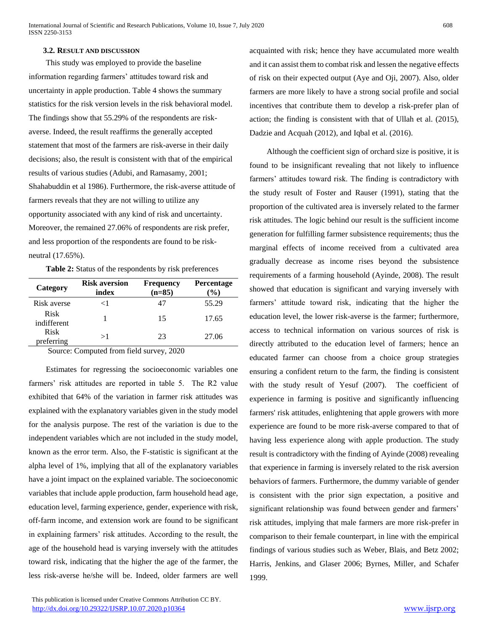# **3.2. RESULT AND DISCUSSION**

This study was employed to provide the baseline information regarding farmers' attitudes toward risk and uncertainty in apple production. Table 4 shows the summary statistics for the risk version levels in the risk behavioral model. The findings show that 55.29% of the respondents are riskaverse. Indeed, the result reaffirms the generally accepted statement that most of the farmers are risk-averse in their daily decisions; also, the result is consistent with that of the empirical results of various studies (Adubi, and Ramasamy, 2001; Shahabuddin et al 1986). Furthermore, the risk-averse attitude of farmers reveals that they are not willing to utilize any opportunity associated with any kind of risk and uncertainty. Moreover, the remained 27.06% of respondents are risk prefer, and less proportion of the respondents are found to be riskneutral (17.65%).

| Category                   | <b>Risk aversion</b><br>index | <b>Frequency</b><br>$(n=85)$ | <b>Percentage</b><br>$(\%)$ |  |  |  |
|----------------------------|-------------------------------|------------------------------|-----------------------------|--|--|--|
| Risk averse                | <1                            | 47                           | 55.29                       |  |  |  |
| <b>Risk</b><br>indifferent |                               | 15                           | 17.65                       |  |  |  |
| <b>Risk</b><br>preferring  | >1                            | 23                           | 27.06                       |  |  |  |

Source: Computed from field survey, 2020

Estimates for regressing the socioeconomic variables one farmers' risk attitudes are reported in table 5. The R2 value exhibited that 64% of the variation in farmer risk attitudes was explained with the explanatory variables given in the study model for the analysis purpose. The rest of the variation is due to the independent variables which are not included in the study model, known as the error term. Also, the F-statistic is significant at the alpha level of 1%, implying that all of the explanatory variables have a joint impact on the explained variable. The socioeconomic variables that include apple production, farm household head age, education level, farming experience, gender, experience with risk, off-farm income, and extension work are found to be significant in explaining farmers' risk attitudes. According to the result, the age of the household head is varying inversely with the attitudes toward risk, indicating that the higher the age of the farmer, the less risk-averse he/she will be. Indeed, older farmers are well acquainted with risk; hence they have accumulated more wealth and it can assist them to combat risk and lessen the negative effects of risk on their expected output (Aye and Oji, 2007). Also, older farmers are more likely to have a strong social profile and social incentives that contribute them to develop a risk-prefer plan of action; the finding is consistent with that of Ullah et al. (2015), Dadzie and Acquah (2012), and Iqbal et al. (2016).

Although the coefficient sign of orchard size is positive, it is found to be insignificant revealing that not likely to influence farmers' attitudes toward risk. The finding is contradictory with the study result of Foster and Rauser (1991), stating that the proportion of the cultivated area is inversely related to the farmer risk attitudes. The logic behind our result is the sufficient income generation for fulfilling farmer subsistence requirements; thus the marginal effects of income received from a cultivated area gradually decrease as income rises beyond the subsistence requirements of a farming household (Ayinde, 2008). The result showed that education is significant and varying inversely with farmers' attitude toward risk, indicating that the higher the education level, the lower risk-averse is the farmer; furthermore, access to technical information on various sources of risk is directly attributed to the education level of farmers; hence an educated farmer can choose from a choice group strategies ensuring a confident return to the farm, the finding is consistent with the study result of Yesuf (2007). The coefficient of experience in farming is positive and significantly influencing farmers' risk attitudes, enlightening that apple growers with more experience are found to be more risk-averse compared to that of having less experience along with apple production. The study result is contradictory with the finding of Ayinde (2008) revealing that experience in farming is inversely related to the risk aversion behaviors of farmers. Furthermore, the dummy variable of gender is consistent with the prior sign expectation, a positive and significant relationship was found between gender and farmers' risk attitudes, implying that male farmers are more risk-prefer in comparison to their female counterpart, in line with the empirical findings of various studies such as Weber, Blais, and Betz 2002; Harris, Jenkins, and Glaser 2006; Byrnes, Miller, and Schafer 1999.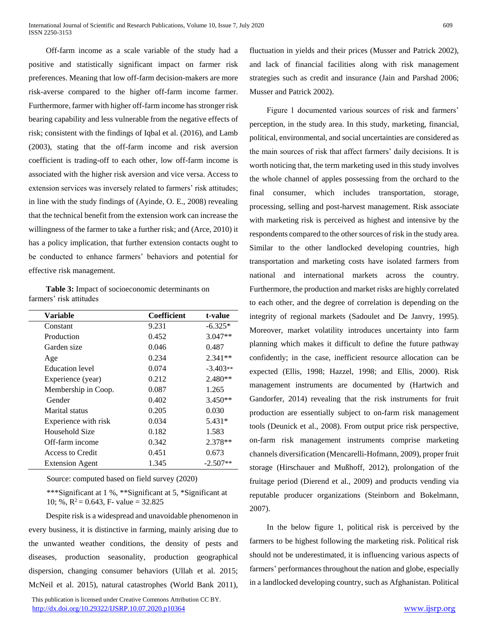Off-farm income as a scale variable of the study had a positive and statistically significant impact on farmer risk preferences. Meaning that low off-farm decision-makers are more risk-averse compared to the higher off-farm income farmer. Furthermore, farmer with higher off-farm income has stronger risk bearing capability and less vulnerable from the negative effects of risk; consistent with the findings of Iqbal et al. (2016), and Lamb (2003), stating that the off-farm income and risk aversion coefficient is trading-off to each other, low off-farm income is associated with the higher risk aversion and vice versa. Access to extension services was inversely related to farmers' risk attitudes; in line with the study findings of (Ayinde, O. E., 2008) revealing that the technical benefit from the extension work can increase the willingness of the farmer to take a further risk; and (Arce, 2010) it has a policy implication, that further extension contacts ought to be conducted to enhance farmers' behaviors and potential for effective risk management.

**Table 3:** Impact of socioeconomic determinants on farmers' risk attitudes

| Variable               | <b>Coefficient</b> | t-value    |
|------------------------|--------------------|------------|
| Constant               | 9.231              | $-6.325*$  |
| Production             | 0.452              | $3.047**$  |
| Garden size            | 0.046              | 0.487      |
| Age                    | 0.234              | $2.341**$  |
| Education level        | 0.074              | $-3.403**$ |
| Experience (year)      | 0.212              | $2.480**$  |
| Membership in Coop.    | 0.087              | 1.265      |
| Gender                 | 0.402              | $3.450**$  |
| Marital status         | 0.205              | 0.030      |
| Experience with risk   | 0.034              | 5.431*     |
| Household Size         | 0.182              | 1.583      |
| Off-farm income        | 0.342              | 2.378**    |
| Access to Credit       | 0.451              | 0.673      |
| <b>Extension Agent</b> | 1.345              | $-2.507**$ |

Source: computed based on field survey (2020)

\*\*\*Significant at 1 %, \*\*Significant at 5, \*Significant at 10; %,  $R^2 = 0.643$ , F- value = 32.825

Despite risk is a widespread and unavoidable phenomenon in every business, it is distinctive in farming, mainly arising due to the unwanted weather conditions, the density of pests and diseases, production seasonality, production geographical dispersion, changing consumer behaviors (Ullah et al. 2015; McNeil et al. 2015), natural catastrophes (World Bank 2011),

 This publication is licensed under Creative Commons Attribution CC BY. <http://dx.doi.org/10.29322/IJSRP.10.07.2020.p10364> [www.ijsrp.org](http://ijsrp.org/)

fluctuation in yields and their prices (Musser and Patrick 2002), and lack of financial facilities along with risk management strategies such as credit and insurance (Jain and Parshad 2006; Musser and Patrick 2002).

Figure 1 documented various sources of risk and farmers' perception, in the study area. In this study, marketing, financial, political, environmental, and social uncertainties are considered as the main sources of risk that affect farmers' daily decisions. It is worth noticing that, the term marketing used in this study involves the whole channel of apples possessing from the orchard to the final consumer, which includes transportation, storage, processing, selling and post-harvest management. Risk associate with marketing risk is perceived as highest and intensive by the respondents compared to the other sources of risk in the study area. Similar to the other landlocked developing countries, high transportation and marketing costs have isolated farmers from national and international markets across the country. Furthermore, the production and market risks are highly correlated to each other, and the degree of correlation is depending on the integrity of regional markets (Sadoulet and De Janvry, 1995). Moreover, market volatility introduces uncertainty into farm planning which makes it difficult to define the future pathway confidently; in the case, inefficient resource allocation can be expected (Ellis, 1998; Hazzel, 1998; and Ellis, 2000). Risk management instruments are documented by (Hartwich and Gandorfer, 2014) revealing that the risk instruments for fruit production are essentially subject to on-farm risk management tools (Deunick et al., 2008). From output price risk perspective, on-farm risk management instruments comprise marketing channels diversification (Mencarelli-Hofmann, 2009), proper fruit storage (Hirschauer and Mußhoff, 2012), prolongation of the fruitage period (Dierend et al., 2009) and products vending via reputable producer organizations (Steinborn and Bokelmann, 2007).

In the below figure 1, political risk is perceived by the farmers to be highest following the marketing risk. Political risk should not be underestimated, it is influencing various aspects of farmers' performances throughout the nation and globe, especially in a landlocked developing country, such as Afghanistan. Political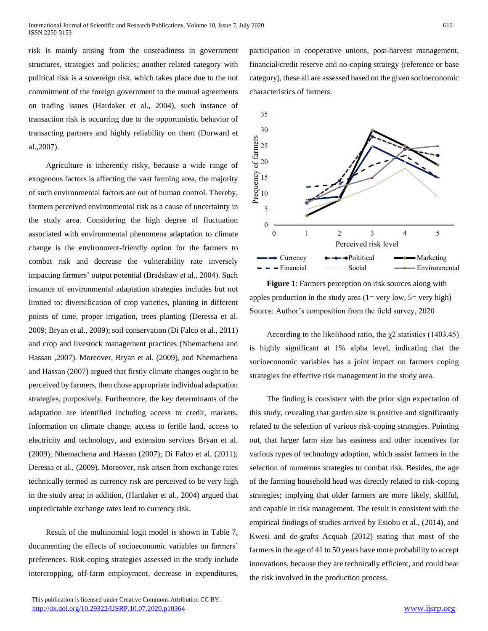risk is mainly arising from the unsteadiness in government structures, strategies and policies; another related category with political risk is a sovereign risk, which takes place due to the not commitment of the foreign government to the mutual agreements on trading issues (Hardaker et al., 2004), such instance of transaction risk is occurring due to the opportunistic behavior of transacting partners and highly reliability on them (Dorward et al.,2007).

Agriculture is inherently risky, because a wide range of exogenous factors is affecting the vast farming area, the majority of such environmental factors are out of human control. Thereby, farmers perceived environmental risk as a cause of uncertainty in the study area. Considering the high degree of fluctuation associated with environmental phenomena adaptation to climate change is the environment-friendly option for the farmers to combat risk and decrease the vulnerability rate inversely impacting farmers' output potential (Bradshaw et al., 2004). Such instance of environmental adaptation strategies includes but not limited to: diversification of crop varieties, planting in different points of time, proper irrigation, trees planting (Deressa et al. 2009; Bryan et al., 2009); soil conservation (Di Falco et al., 2011) and crop and livestock management practices (Nhemachena and Hassan ,2007). Moreover, Bryan et al. (2009), and Nhemachena and Hassan (2007) argued that firstly climate changes ought to be perceived by farmers, then chose appropriate individual adaptation strategies, purposively. Furthermore, the key determinants of the adaptation are identified including access to credit, markets, Information on climate change, access to fertile land, access to electricity and technology, and extension services Bryan et al. (2009); Nhemachena and Hassan (2007); Di Falco et al. (2011); Deressa et al., (2009). Moreover, risk arisen from exchange rates technically termed as currency risk are perceived to be very high in the study area; in addition, (Hardaker et al., 2004) argued that unpredictable exchange rates lead to currency risk.

Result of the multinomial logit model is shown in Table 7, documenting the effects of socioeconomic variables on farmers' preferences. Risk-coping strategies assessed in the study include intercropping, off-farm employment, decrease in expenditures, participation in cooperative unions, post-harvest management, financial/credit reserve and no-coping strategy (reference or base category), these all are assessed based on the given socioeconomic characteristics of farmers.



is highly significant at 1% alpha level, indicating that the socioeconomic variables has a joint impact on farmers coping strategies for effective risk management in the study area.

The finding is consistent with the prior sign expectation of this study, revealing that garden size is positive and significantly related to the selection of various risk-coping strategies. Pointing out, that larger farm size has easiness and other incentives for various types of technology adoption, which assist farmers in the selection of numerous strategies to combat risk. Besides, the age of the farming household head was directly related to risk-coping strategies; implying that older farmers are more likely, skillful, and capable in risk management. The result is consistent with the empirical findings of studies arrived by Esiobu et al., (2014), and Kwesi and de-grafts Acquah (2012) stating that most of the farmers in the age of 41 to 50 years have more probability to accept innovations, because they are technically efficient, and could bear the risk involved in the production process.

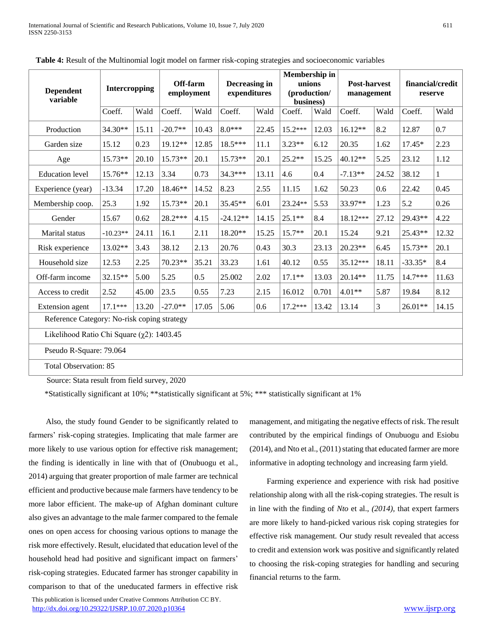| <b>Dependent</b><br>variable                     | Intercropping |       | Off-farm<br>employment |       | Decreasing in<br>expenditures |       | Membership in<br>unions<br>(production/<br>business) |       | <b>Post-harvest</b><br>management |                | financial/credit<br>reserve |       |
|--------------------------------------------------|---------------|-------|------------------------|-------|-------------------------------|-------|------------------------------------------------------|-------|-----------------------------------|----------------|-----------------------------|-------|
|                                                  | Coeff.        | Wald  | Coeff.                 | Wald  | Coeff.                        | Wald  | Coeff.                                               | Wald  | Coeff.                            | Wald           | Coeff.                      | Wald  |
| Production                                       | 34.30**       | 15.11 | $-20.7**$              | 10.43 | $8.0***$                      | 22.45 | $15.2***$                                            | 12.03 | $16.12**$                         | 8.2            | 12.87                       | 0.7   |
| Garden size                                      | 15.12         | 0.23  | 19.12**                | 12.85 | 18.5***                       | 11.1  | $3.23**$                                             | 6.12  | 20.35                             | 1.62           | $17.45*$                    | 2.23  |
| Age                                              | $15.73**$     | 20.10 | $15.73**$              | 20.1  | $15.73**$                     | 20.1  | $25.2**$                                             | 15.25 | 40.12**                           | 5.25           | 23.12                       | 1.12  |
| <b>Education</b> level                           | 15.76**       | 12.13 | 3.34                   | 0.73  | $34.3***$                     | 13.11 | 4.6                                                  | 0.4   | $-7.13**$                         | 24.52          | 38.12                       | 1     |
| Experience (year)                                | $-13.34$      | 17.20 | 18.46**                | 14.52 | 8.23                          | 2.55  | 11.15                                                | 1.62  | 50.23                             | 0.6            | 22.42                       | 0.45  |
| Membership coop.                                 | 25.3          | 1.92  | 15.73**                | 20.1  | 35.45**                       | 6.01  | 23.24**                                              | 5.53  | 33.97**                           | 1.23           | 5.2                         | 0.26  |
| Gender                                           | 15.67         | 0.62  | 28.2***                | 4.15  | $-24.12**$                    | 14.15 | $25.1**$                                             | 8.4   | 18.12***                          | 27.12          | 29.43**                     | 4.22  |
| Marital status                                   | $-10.23**$    | 24.11 | 16.1                   | 2.11  | 18.20**                       | 15.25 | $15.7**$                                             | 20.1  | 15.24                             | 9.21           | 25.43**                     | 12.32 |
| Risk experience                                  | 13.02**       | 3.43  | 38.12                  | 2.13  | 20.76                         | 0.43  | 30.3                                                 | 23.13 | $20.23**$                         | 6.45           | $15.73**$                   | 20.1  |
| Household size                                   | 12.53         | 2.25  | 70.23**                | 35.21 | 33.23                         | 1.61  | 40.12                                                | 0.55  | 35.12***                          | 18.11          | $-33.35*$                   | 8.4   |
| Off-farm income                                  | 32.15**       | 5.00  | 5.25                   | 0.5   | 25.002                        | 2.02  | $17.1**$                                             | 13.03 | 20.14**                           | 11.75          | 14.7***                     | 11.63 |
| Access to credit                                 | 2.52          | 45.00 | 23.5                   | 0.55  | 7.23                          | 2.15  | 16.012                                               | 0.701 | $4.01**$                          | 5.87           | 19.84                       | 8.12  |
| Extension agent                                  | $17.1***$     | 13.20 | $-27.0**$              | 17.05 | 5.06                          | 0.6   | $17.2***$                                            | 13.42 | 13.14                             | $\mathfrak{Z}$ | 26.01**                     | 14.15 |
| Reference Category: No-risk coping strategy      |               |       |                        |       |                               |       |                                                      |       |                                   |                |                             |       |
| Likelihood Ratio Chi Square $(\chi 2)$ : 1403.45 |               |       |                        |       |                               |       |                                                      |       |                                   |                |                             |       |
| Pseudo R-Square: 79.064                          |               |       |                        |       |                               |       |                                                      |       |                                   |                |                             |       |
| <b>Total Observation: 85</b>                     |               |       |                        |       |                               |       |                                                      |       |                                   |                |                             |       |

**Table 4:** Result of the Multinomial logit model on farmer risk-coping strategies and socioeconomic variables

Source: Stata result from field survey, 2020

\*Statistically significant at 10%; \*\*statistically significant at 5%; \*\*\* statistically significant at 1%

Also, the study found Gender to be significantly related to farmers' risk-coping strategies. Implicating that male farmer are more likely to use various option for effective risk management; the finding is identically in line with that of (Onubuogu et al., 2014) arguing that greater proportion of male farmer are technical efficient and productive because male farmers have tendency to be more labor efficient. The make-up of Afghan dominant culture also gives an advantage to the male farmer compared to the female ones on open access for choosing various options to manage the risk more effectively. Result, elucidated that education level of the household head had positive and significant impact on farmers' risk-coping strategies. Educated farmer has stronger capability in comparison to that of the uneducated farmers in effective risk

 This publication is licensed under Creative Commons Attribution CC BY. <http://dx.doi.org/10.29322/IJSRP.10.07.2020.p10364> [www.ijsrp.org](http://ijsrp.org/)

management, and mitigating the negative effects of risk. The result contributed by the empirical findings of Onubuogu and Esiobu (2014), and Nto et al., (2011) stating that educated farmer are more informative in adopting technology and increasing farm yield.

Farming experience and experience with risk had positive relationship along with all the risk-coping strategies. The result is in line with the finding of *Nto* et al., *(2014),* that expert farmers are more likely to hand-picked various risk coping strategies for effective risk management*.* Our study result revealed that access to credit and extension work was positive and significantly related to choosing the risk-coping strategies for handling and securing financial returns to the farm.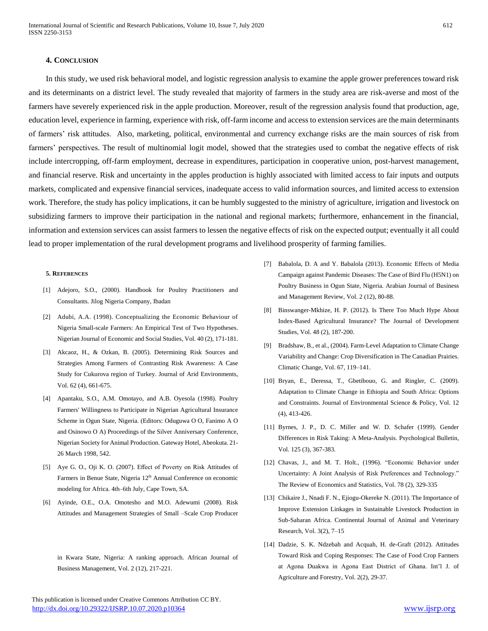# **4. CONCLUSION**

In this study, we used risk behavioral model, and logistic regression analysis to examine the apple grower preferences toward risk and its determinants on a district level. The study revealed that majority of farmers in the study area are risk-averse and most of the farmers have severely experienced risk in the apple production. Moreover, result of the regression analysis found that production, age, education level, experience in farming, experience with risk, off-farm income and access to extension services are the main determinants of farmers' risk attitudes. Also, marketing, political, environmental and currency exchange risks are the main sources of risk from farmers' perspectives. The result of multinomial logit model, showed that the strategies used to combat the negative effects of risk include intercropping, off-farm employment, decrease in expenditures, participation in cooperative union, post-harvest management, and financial reserve. Risk and uncertainty in the apples production is highly associated with limited access to fair inputs and outputs markets, complicated and expensive financial services, inadequate access to valid information sources, and limited access to extension work. Therefore, the study has policy implications, it can be humbly suggested to the ministry of agriculture, irrigation and livestock on subsidizing farmers to improve their participation in the national and regional markets; furthermore, enhancement in the financial, information and extension services can assist farmers to lessen the negative effects of risk on the expected output; eventually it all could lead to proper implementation of the rural development programs and livelihood prosperity of farming families.

#### **5. REFERENCES**

- [1] Adejoro, S.O., (2000). Handbook for Poultry Practitioners and Consultants. Jilog Nigeria Company, Ibadan
- [2] Adubi, A.A. (1998). Conceptualizing the Economic Behaviour of Nigeria Small-scale Farmers: An Empirical Test of Two Hypotheses. Nigerian Journal of Economic and Social Studies, Vol. 40 (2), 171-181.
- [3] Akcaoz, H., & Ozkan, B. (2005). Determining Risk Sources and Strategies Among Farmers of Contrasting Risk Awareness: A Case Study for Cukurova region of Turkey. Journal of Arid Environments, Vol. 62 (4), 661-675.
- [4] Apantaku, S.O., A.M. Omotayo, and A.B. Oyesola (1998). Poultry Farmers' Willingness to Participate in Nigerian Agricultural Insurance Scheme in Ogun State, Nigeria. (Editors: Oduguwa O O, Fanimo A O and Osinowo O A) Proceedings of the Silver Anniversary Conference, Nigerian Society for Animal Production. Gateway Hotel, Abeokuta. 21- 26 March 1998, 542.
- [5] Aye G. O., Oji K. O. (2007). Effect of Poverty on Risk Attitudes of Farmers in Benue State, Nigeria 12<sup>th</sup> Annual Conference on economic modeling for Africa. 4th–6th July, Cape Town, SA.
- [6] Ayinde, O.E., O.A. Omotesho and M.O. Adewumi (2008). Risk Attitudes and Management Strategies of Small –Scale Crop Producer

in Kwara State, Nigeria: A ranking approach. African Journal of Business Management, Vol. 2 (12), 217-221.

- [7] Babalola, D. A and Y. Babalola (2013). Economic Effects of Media Campaign against Pandemic Diseases: The Case of Bird Flu (H5N1) on Poultry Business in Ogun State, Nigeria. Arabian Journal of Business and Management Review, Vol. 2 (12), 80-88.
- [8] Binswanger-Mkhize, H. P. (2012). Is There Too Much Hype About Index-Based Agricultural Insurance? The Journal of Development Studies, Vol. 48 (2), 187-200.
- [9] Bradshaw, B., et al., (2004). Farm-Level Adaptation to Climate Change Variability and Change: Crop Diversification in The Canadian Prairies. Climatic Change, Vol. 67, 119–141.
- [10] Bryan, E., Deressa, T., Gbetibouo, G. and Ringler, C. (2009). Adaptation to Climate Change in Ethiopia and South Africa: Options and Constraints. Journal of Environmental Science & Policy, Vol. 12 (4), 413-426.
- [11] Byrnes, J. P., D. C. Miller and W. D. Schafer (1999). Gender Differences in Risk Taking: A Meta-Analysis. Psychological Bulletin, Vol. 125 (3), 367-383.
- [12] Chavas, J., and M. T. Holt., (1996). "Economic Behavior under Uncertainty: A Joint Analysis of Risk Preferences and Technology." The Review of Economics and Statistics, Vol. 78 (2), 329-335
- [13] Chikaire J., Nnadi F. N., Ejiogu-Okereke N. (2011). The Importance of Improve Extension Linkages in Sustainable Livestock Production in Sub-Saharan Africa. Continental Journal of Animal and Veterinary Research, Vol. 3(2), 7–15
- [14] Dadzie, S. K. Ndzebah and Acquah, H. de-Graft (2012). Attitudes Toward Risk and Coping Responses: The Case of Food Crop Farmers at Agona Duakwa in Agona East District of Ghana. Int'l J. of Agriculture and Forestry, Vol. 2(2), 29-37.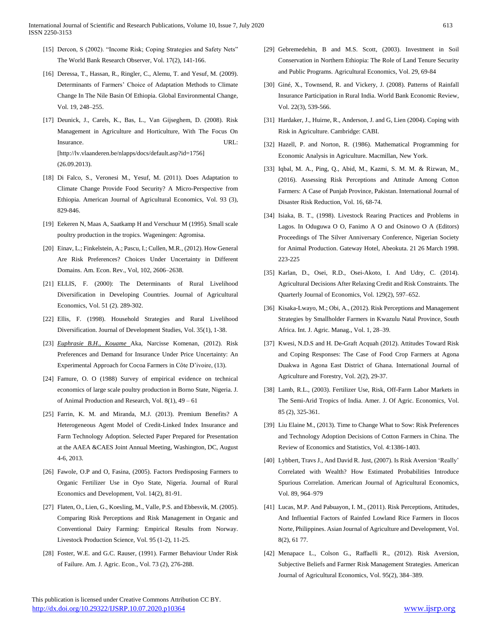- [15] Dercon, S (2002). "Income Risk; Coping Strategies and Safety Nets" The World Bank Research Observer, Vol. 17(2), 141-166.
- [16] Deressa, T., Hassan, R., Ringler, C., Alemu, T. and Yesuf, M. (2009). Determinants of Farmers' Choice of Adaptation Methods to Climate Change In The Nile Basin Of Ethiopia. Global Environmental Change, Vol. 19, 248–255.
- [17] Deunick, J., Carels, K., Bas, L., Van Gijseghem, D. (2008). Risk Management in Agriculture and Horticulture, With The Focus On Insurance. URL: [http://lv.vlaanderen.be/nlapps/docs/default.asp?id=1756] (26.09.2013).
- [18] Di Falco, S., Veronesi M., Yesuf, M. (2011). Does Adaptation to Climate Change Provide Food Security? A Micro-Perspective from Ethiopia. American Journal of Agricultural Economics, Vol. 93 (3), 829-846.
- [19] Eekeren N, Maas A, Saatkamp H and Verschuur M (1995). Small scale poultry production in the tropics. Wageningen: Agromisa.
- [20] Einav, L.; Finkelstein, A.; Pascu, I.; Cullen, M.R., (2012). How General Are Risk Preferences? Choices Under Uncertainty in Different Domains. Am. Econ. Rev., Vol, 102, 2606–2638.
- [21] ELLIS, F. (2000): The Determinants of Rural Livelihood Diversification in Developing Countries. Journal of Agricultural Economics, Vol. 51 (2). 289-302.
- [22] Ellis, F. (1998). Household Strategies and Rural Livelihood Diversification. Journal of Development Studies, Vol. 35(1), 1-38.
- [23] *Euphrasie B.H., Kouame* Aka, Narcisse Komenan, (2012). Risk Preferences and Demand for Insurance Under Price Uncertainty: An Experimental Approach for Cocoa Farmers in Côte D'ivoire, (13).
- [24] Famure, O. O (1988) Survey of empirical evidence on technical economics of large scale poultry production in Borno State, Nigeria. J. of Animal Production and Research, Vol. 8(1), 49 – 61
- [25] Farrin, K. M. and Miranda, M.J. (2013). Premium Benefits? A Heterogeneous Agent Model of Credit-Linked Index Insurance and Farm Technology Adoption. Selected Paper Prepared for Presentation at the AAEA &CAES Joint Annual Meeting, Washington, DC, August 4-6, 2013.
- [26] Fawole, O.P and O, Fasina, (2005). Factors Predisposing Farmers to Organic Fertilizer Use in Oyo State, Nigeria. Journal of Rural Economics and Development, Vol. 14(2), 81-91.
- [27] Flaten, O., Lien, G., Koesling, M., Valle, P.S. and Ebbesvik, M. (2005). Comparing Risk Perceptions and Risk Management in Organic and Conventional Dairy Farming: Empirical Results from Norway. Livestock Production Science, Vol. 95 (1-2), 11-25.
- [28] Foster, W.E. and G.C. Rauser, (1991). Farmer Behaviour Under Risk of Failure. Am. J. Agric. Econ., Vol. 73 (2), 276-288.
- [29] Gebremedehin, B and M.S. Scott, (2003). Investment in Soil Conservation in Northern Ethiopia: The Role of Land Tenure Security and Public Programs. Agricultural Economics, Vol. 29, 69-84
- [30] Giné, X., Townsend, R. and Vickery, J. (2008). Patterns of Rainfall Insurance Participation in Rural India. World Bank Economic Review, Vol. 22(3), 539-566.
- [31] Hardaker, J., Huirne, R., Anderson, J. and G, Lien (2004). Coping with Risk in Agriculture. Cambridge: CABI.
- [32] Hazell, P. and Norton, R. (1986). Mathematical Programming for Economic Analysis in Agriculture. Macmillan, New York.
- [33] Iqbal, M. A., Ping, Q., Abid, M., Kazmi, S. M. M. & Rizwan, M., (2016). Assessing Risk Perceptions and Attitude Among Cotton Farmers: A Case of Punjab Province, Pakistan. International Journal of Disaster Risk Reduction, Vol. 16, 68-74.
- [34] Isiaka, B. T., (1998). Livestock Rearing Practices and Problems in Lagos. In Oduguwa O O, Fanimo A O and Osinowo O A (Editors) Proceedings of The Silver Anniversary Conference, Nigerian Society for Animal Production. Gateway Hotel, Abeokuta. 21 26 March 1998. 223-225
- [35] Karlan, D., Osei, R.D., Osei-Akoto, I. And Udry, C. (2014). Agricultural Decisions After Relaxing Credit and Risk Constraints. The Quarterly Journal of Economics, Vol. 129(2), 597–652.
- [36] Kisaka-Lwayo, M.; Obi, A., (2012). Risk Perceptions and Management Strategies by Smallholder Farmers in Kwazulu Natal Province, South Africa. Int. J. Agric. Manag., Vol. 1, 28–39.
- [37] Kwesi, N.D.S and H. De-Graft Acquah (2012). Attitudes Toward Risk and Coping Responses: The Case of Food Crop Farmers at Agona Duakwa in Agona East District of Ghana. International Journal of Agriculture and Forestry, Vol. 2(2), 29-37.
- [38] Lamb, R.L., (2003). Fertilizer Use, Risk, Off-Farm Labor Markets in The Semi-Arid Tropics of India. Amer. J. Of Agric. Economics, Vol. 85 (2), 325-361.
- [39] Liu Elaine M., (2013). Time to Change What to Sow: Risk Preferences and Technology Adoption Decisions of Cotton Farmers in China. The Review of Economics and Statistics, Vol. 4:1386-1403.
- [40] Lybbert, Travs J., And David R. Just, (2007). Is Risk Aversion 'Really' Correlated with Wealth? How Estimated Probabilities Introduce Spurious Correlation. American Journal of Agricultural Economics, Vol. 89, 964–979
- [41] Lucas, M.P. And Pabuayon, I. M., (2011). Risk Perceptions, Attitudes, And Influential Factors of Rainfed Lowland Rice Farmers in Ilocos Norte, Philippines. Asian Journal of Agriculture and Development, Vol. 8(2), 61 77.
- [42] Menapace L., Colson G., Raffaelli R., (2012). Risk Aversion, Subjective Beliefs and Farmer Risk Management Strategies. American Journal of Agricultural Economics, Vol. 95(2), 384–389.